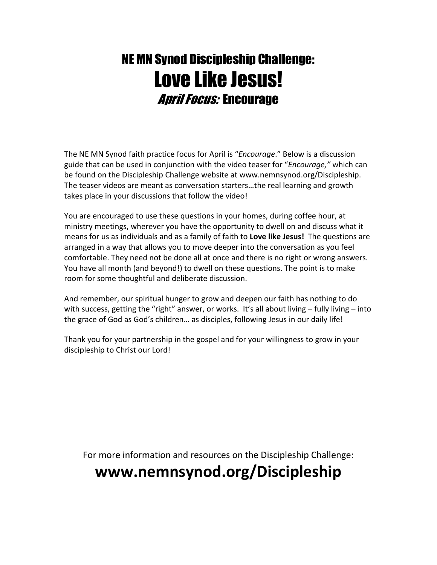# NE MN Synod Discipleship Challenge: Love Like Jesus! April Focus: Encourage

The NE MN Synod faith practice focus for April is "Encourage." Below is a discussion guide that can be used in conjunction with the video teaser for "Encourage," which can be found on the Discipleship Challenge website at www.nemnsynod.org/Discipleship. The teaser videos are meant as conversation starters…the real learning and growth takes place in your discussions that follow the video!

You are encouraged to use these questions in your homes, during coffee hour, at ministry meetings, wherever you have the opportunity to dwell on and discuss what it means for us as individuals and as a family of faith to Love like Jesus! The questions are arranged in a way that allows you to move deeper into the conversation as you feel comfortable. They need not be done all at once and there is no right or wrong answers. You have all month (and beyond!) to dwell on these questions. The point is to make room for some thoughtful and deliberate discussion.

And remember, our spiritual hunger to grow and deepen our faith has nothing to do with success, getting the "right" answer, or works. It's all about living - fully living - into the grace of God as God's children… as disciples, following Jesus in our daily life!

Thank you for your partnership in the gospel and for your willingness to grow in your discipleship to Christ our Lord!

For more information and resources on the Discipleship Challenge:

## www.nemnsynod.org/Discipleship